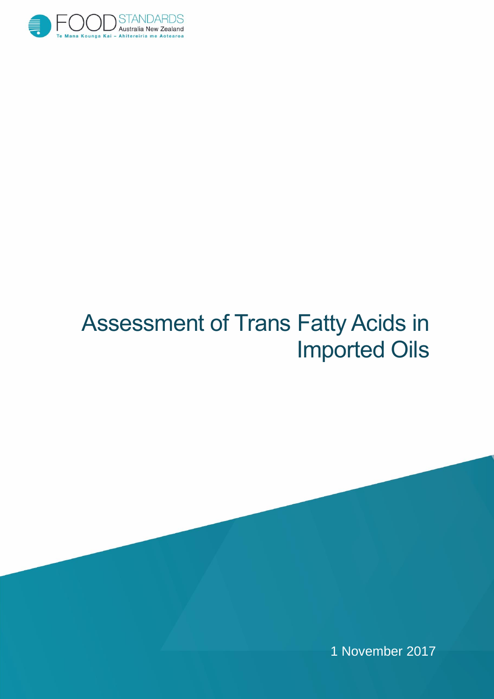

# Assessment of Trans Fatty Acids in Imported Oils

1 November 2017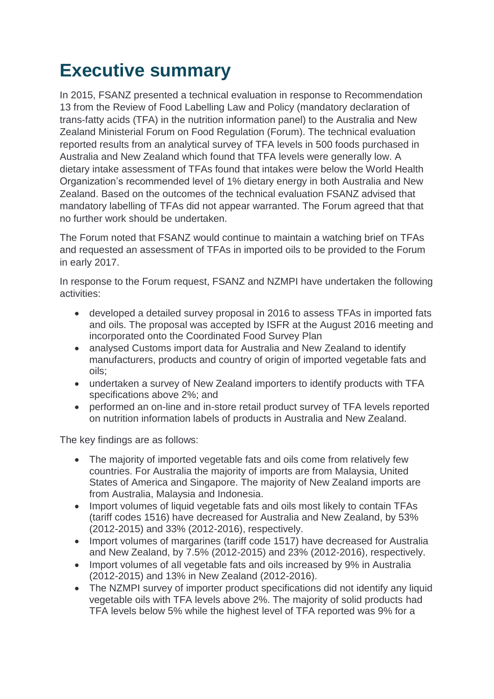## **Executive summary**

In 2015, FSANZ presented a technical evaluation in response to Recommendation 13 from the Review of Food Labelling Law and Policy (mandatory declaration of trans-fatty acids (TFA) in the nutrition information panel) to the Australia and New Zealand Ministerial Forum on Food Regulation (Forum). The technical evaluation reported results from an analytical survey of TFA levels in 500 foods purchased in Australia and New Zealand which found that TFA levels were generally low. A dietary intake assessment of TFAs found that intakes were below the World Health Organization's recommended level of 1% dietary energy in both Australia and New Zealand. Based on the outcomes of the technical evaluation FSANZ advised that mandatory labelling of TFAs did not appear warranted. The Forum agreed that that no further work should be undertaken.

The Forum noted that FSANZ would continue to maintain a watching brief on TFAs and requested an assessment of TFAs in imported oils to be provided to the Forum in early 2017.

In response to the Forum request, FSANZ and NZMPI have undertaken the following activities:

- developed a detailed survey proposal in 2016 to assess TFAs in imported fats and oils. The proposal was accepted by ISFR at the August 2016 meeting and incorporated onto the Coordinated Food Survey Plan
- analysed Customs import data for Australia and New Zealand to identify manufacturers, products and country of origin of imported vegetable fats and oils;
- undertaken a survey of New Zealand importers to identify products with TFA specifications above 2%; and
- performed an on-line and in-store retail product survey of TFA levels reported on nutrition information labels of products in Australia and New Zealand.

The key findings are as follows:

- The majority of imported vegetable fats and oils come from relatively few countries. For Australia the majority of imports are from Malaysia, United States of America and Singapore. The majority of New Zealand imports are from Australia, Malaysia and Indonesia.
- Import volumes of liquid vegetable fats and oils most likely to contain TFAs (tariff codes 1516) have decreased for Australia and New Zealand, by 53% (2012-2015) and 33% (2012-2016), respectively.
- Import volumes of margarines (tariff code 1517) have decreased for Australia and New Zealand, by 7.5% (2012-2015) and 23% (2012-2016), respectively.
- Import volumes of all vegetable fats and oils increased by 9% in Australia (2012-2015) and 13% in New Zealand (2012-2016).
- The NZMPI survey of importer product specifications did not identify any liquid vegetable oils with TFA levels above 2%. The majority of solid products had TFA levels below 5% while the highest level of TFA reported was 9% for a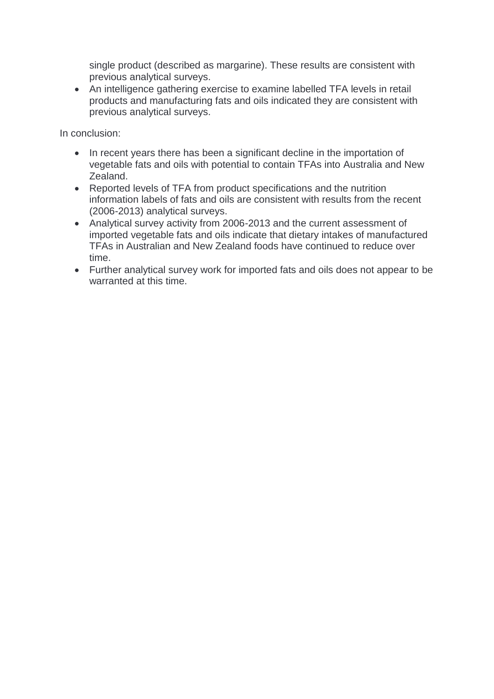single product (described as margarine). These results are consistent with previous analytical surveys.

 An intelligence gathering exercise to examine labelled TFA levels in retail products and manufacturing fats and oils indicated they are consistent with previous analytical surveys.

In conclusion:

- In recent vears there has been a significant decline in the importation of vegetable fats and oils with potential to contain TFAs into Australia and New Zealand.
- Reported levels of TFA from product specifications and the nutrition information labels of fats and oils are consistent with results from the recent (2006-2013) analytical surveys.
- Analytical survey activity from 2006-2013 and the current assessment of imported vegetable fats and oils indicate that dietary intakes of manufactured TFAs in Australian and New Zealand foods have continued to reduce over time.
- Further analytical survey work for imported fats and oils does not appear to be warranted at this time.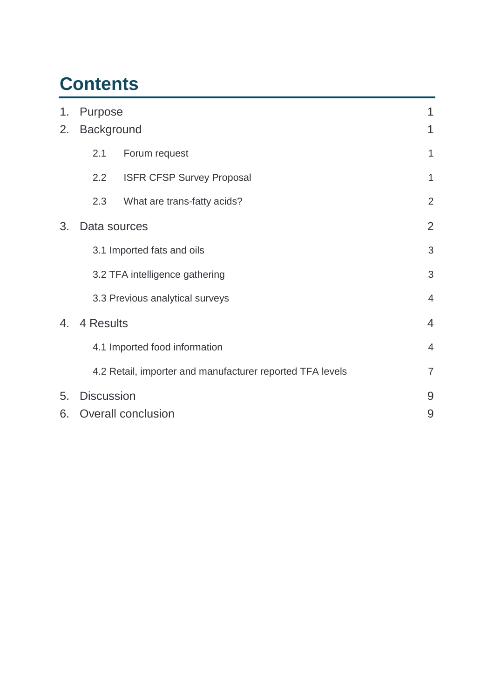## **Contents**

| 1. | Purpose                         |                                                           |                |
|----|---------------------------------|-----------------------------------------------------------|----------------|
| 2. | <b>Background</b>               |                                                           | 1              |
|    | 2.1                             | Forum request                                             | 1              |
|    | 2.2                             | <b>ISFR CFSP Survey Proposal</b>                          | $\mathbf 1$    |
|    | 2.3                             | What are trans-fatty acids?                               | $\overline{2}$ |
| 3. | Data sources                    |                                                           | $\overline{2}$ |
|    | 3.1 Imported fats and oils      |                                                           | 3              |
|    | 3.2 TFA intelligence gathering  |                                                           | 3              |
|    | 3.3 Previous analytical surveys |                                                           | $\overline{4}$ |
| 4. | 4 Results                       |                                                           | $\overline{4}$ |
|    | 4.1 Imported food information   |                                                           | $\overline{4}$ |
|    |                                 | 4.2 Retail, importer and manufacturer reported TFA levels | $\overline{7}$ |
| 5. | <b>Discussion</b>               |                                                           |                |
| 6. | <b>Overall conclusion</b><br>9  |                                                           |                |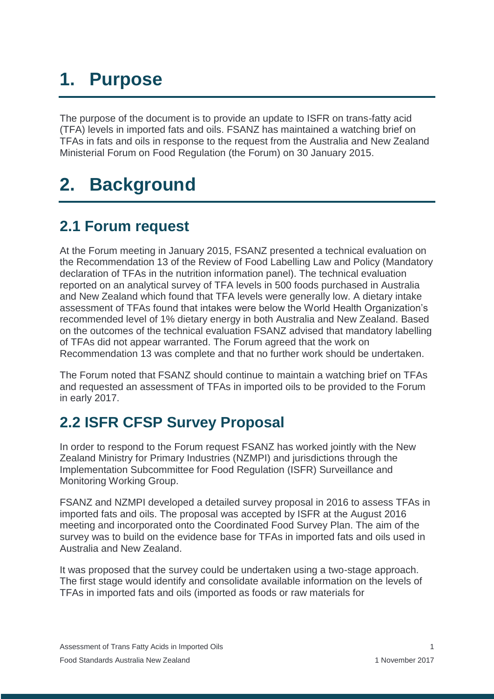# <span id="page-4-0"></span>**1. Purpose**

The purpose of the document is to provide an update to ISFR on trans-fatty acid (TFA) levels in imported fats and oils. FSANZ has maintained a watching brief on TFAs in fats and oils in response to the request from the Australia and New Zealand Ministerial Forum on Food Regulation (the Forum) on 30 January 2015.

## <span id="page-4-1"></span>**2. Background**

### <span id="page-4-2"></span>**2.1 Forum request**

At the Forum meeting in January 2015, FSANZ presented a technical evaluation on the Recommendation 13 of the Review of Food Labelling Law and Policy (Mandatory declaration of TFAs in the nutrition information panel). The technical evaluation reported on an analytical survey of TFA levels in 500 foods purchased in Australia and New Zealand which found that TFA levels were generally low. A dietary intake assessment of TFAs found that intakes were below the World Health Organization's recommended level of 1% dietary energy in both Australia and New Zealand. Based on the outcomes of the technical evaluation FSANZ advised that mandatory labelling of TFAs did not appear warranted. The Forum agreed that the work on Recommendation 13 was complete and that no further work should be undertaken.

The Forum noted that FSANZ should continue to maintain a watching brief on TFAs and requested an assessment of TFAs in imported oils to be provided to the Forum in early 2017.

### <span id="page-4-3"></span>**2.2 ISFR CFSP Survey Proposal**

In order to respond to the Forum request FSANZ has worked jointly with the New Zealand Ministry for Primary Industries (NZMPI) and jurisdictions through the Implementation Subcommittee for Food Regulation (ISFR) Surveillance and Monitoring Working Group.

FSANZ and NZMPI developed a detailed survey proposal in 2016 to assess TFAs in imported fats and oils. The proposal was accepted by ISFR at the August 2016 meeting and incorporated onto the Coordinated Food Survey Plan. The aim of the survey was to build on the evidence base for TFAs in imported fats and oils used in Australia and New Zealand.

It was proposed that the survey could be undertaken using a two-stage approach. The first stage would identify and consolidate available information on the levels of TFAs in imported fats and oils (imported as foods or raw materials for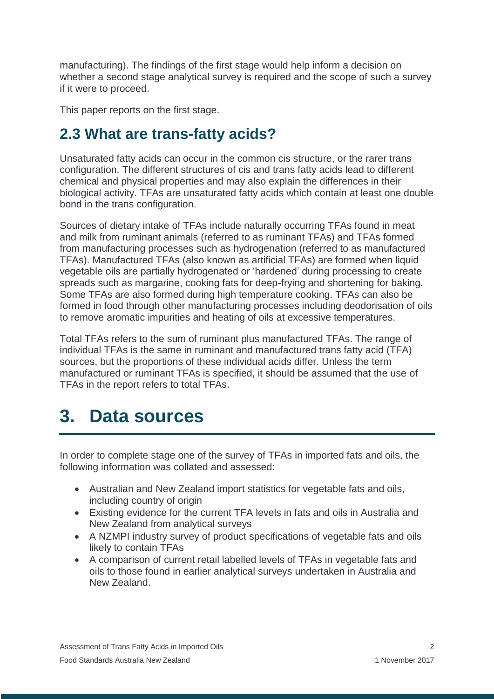manufacturing). The findings of the first stage would help inform a decision on whether a second stage analytical survey is required and the scope of such a survey if it were to proceed.

This paper reports on the first stage.

### <span id="page-5-0"></span>**2.3 What are trans-fatty acids?**

Unsaturated fatty acids can occur in the common cis structure, or the rarer trans configuration. The different structures of cis and trans fatty acids lead to different chemical and physical properties and may also explain the differences in their biological activity. TFAs are unsaturated fatty acids which contain at least one double bond in the trans configuration.

Sources of dietary intake of TFAs include naturally occurring TFAs found in meat and milk from ruminant animals (referred to as ruminant TFAs) and TFAs formed from manufacturing processes such as hydrogenation (referred to as manufactured TFAs). Manufactured TFAs (also known as artificial TFAs) are formed when liquid vegetable oils are partially hydrogenated or 'hardened' during processing to create spreads such as margarine, cooking fats for deep-frying and shortening for baking. Some TFAs are also formed during high temperature cooking. TFAs can also be formed in food through other manufacturing processes including deodorisation of oils to remove aromatic impurities and heating of oils at excessive temperatures.

Total TFAs refers to the sum of ruminant plus manufactured TFAs. The range of individual TFAs is the same in ruminant and manufactured trans fatty acid (TFA) sources, but the proportions of these individual acids differ. Unless the term manufactured or ruminant TFAs is specified, it should be assumed that the use of TFAs in the report refers to total TFAs.

## <span id="page-5-1"></span>**3. Data sources**

In order to complete stage one of the survey of TFAs in imported fats and oils, the following information was collated and assessed:

- Australian and New Zealand import statistics for vegetable fats and oils, including country of origin
- Existing evidence for the current TFA levels in fats and oils in Australia and New Zealand from analytical surveys
- A NZMPI industry survey of product specifications of vegetable fats and oils likely to contain TFAs
- A comparison of current retail labelled levels of TFAs in vegetable fats and oils to those found in earlier analytical surveys undertaken in Australia and New Zealand.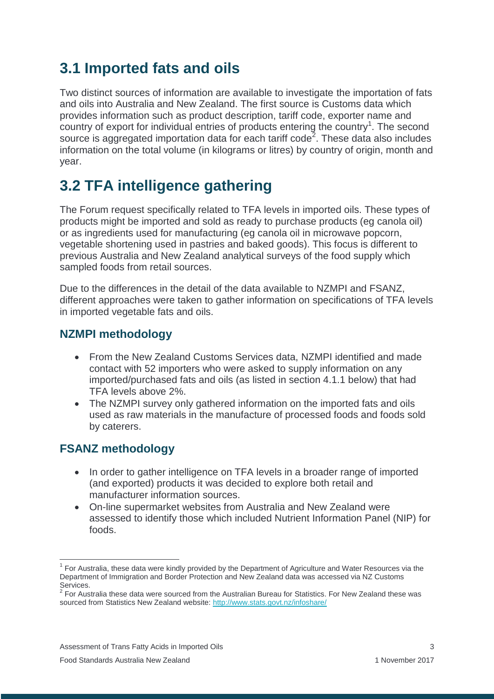### <span id="page-6-0"></span>**3.1 Imported fats and oils**

Two distinct sources of information are available to investigate the importation of fats and oils into Australia and New Zealand. The first source is Customs data which provides information such as product description, tariff code, exporter name and country of export for individual entries of products entering the country<sup>1</sup>. The second source is aggregated importation data for each tariff code<sup>2</sup>. These data also includes information on the total volume (in kilograms or litres) by country of origin, month and year.

## <span id="page-6-1"></span>**3.2 TFA intelligence gathering**

The Forum request specifically related to TFA levels in imported oils. These types of products might be imported and sold as ready to purchase products (eg canola oil) or as ingredients used for manufacturing (eg canola oil in microwave popcorn, vegetable shortening used in pastries and baked goods). This focus is different to previous Australia and New Zealand analytical surveys of the food supply which sampled foods from retail sources.

Due to the differences in the detail of the data available to NZMPI and FSANZ, different approaches were taken to gather information on specifications of TFA levels in imported vegetable fats and oils.

#### **NZMPI methodology**

- From the New Zealand Customs Services data, NZMPI identified and made contact with 52 importers who were asked to supply information on any imported/purchased fats and oils (as listed in section 4.1.1 below) that had TFA levels above 2%.
- The NZMPI survey only gathered information on the imported fats and oils used as raw materials in the manufacture of processed foods and foods sold by caterers.

### **FSANZ methodology**

 $\overline{a}$ 

- In order to gather intelligence on TFA levels in a broader range of imported (and exported) products it was decided to explore both retail and manufacturer information sources.
- On-line supermarket websites from Australia and New Zealand were assessed to identify those which included Nutrient Information Panel (NIP) for foods.

<sup>&</sup>lt;sup>1</sup> For Australia, these data were kindly provided by the Department of Agriculture and Water Resources via the Department of Immigration and Border Protection and New Zealand data was accessed via NZ Customs

Services. 2 For Australia these data were sourced from the Australian Bureau for Statistics. For New Zealand these was sourced from Statistics New Zealand website:<http://www.stats.govt.nz/infoshare/>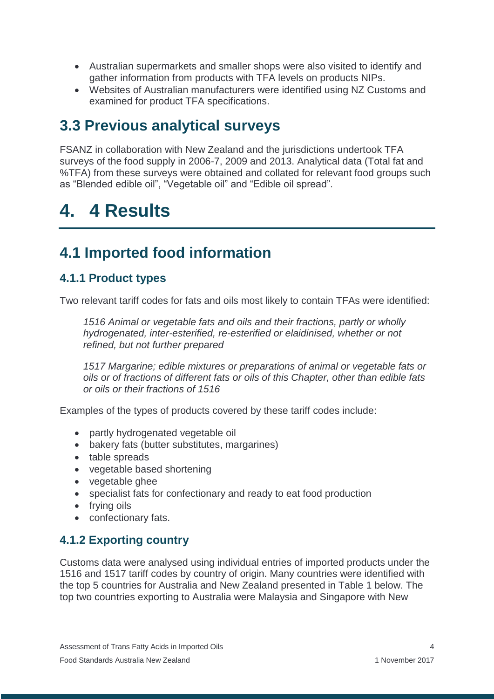- Australian supermarkets and smaller shops were also visited to identify and gather information from products with TFA levels on products NIPs.
- Websites of Australian manufacturers were identified using NZ Customs and examined for product TFA specifications.

### <span id="page-7-0"></span>**3.3 Previous analytical surveys**

FSANZ in collaboration with New Zealand and the jurisdictions undertook TFA surveys of the food supply in 2006-7, 2009 and 2013. Analytical data (Total fat and %TFA) from these surveys were obtained and collated for relevant food groups such as "Blended edible oil", "Vegetable oil" and "Edible oil spread".

## <span id="page-7-1"></span>**4. 4 Results**

### <span id="page-7-2"></span>**4.1 Imported food information**

#### **4.1.1 Product types**

Two relevant tariff codes for fats and oils most likely to contain TFAs were identified:

*1516 Animal or vegetable fats and oils and their fractions, partly or wholly hydrogenated, inter-esterified, re-esterified or elaidinised, whether or not refined, but not further prepared*

*1517 Margarine; edible mixtures or preparations of animal or vegetable fats or oils or of fractions of different fats or oils of this Chapter, other than edible fats or oils or their fractions of 1516*

Examples of the types of products covered by these tariff codes include:

- partly hydrogenated vegetable oil
- bakery fats (butter substitutes, margarines)
- table spreads
- vegetable based shortening
- vegetable ghee
- specialist fats for confectionary and ready to eat food production
- frving oils
- confectionary fats.

### **4.1.2 Exporting country**

Customs data were analysed using individual entries of imported products under the 1516 and 1517 tariff codes by country of origin. Many countries were identified with the top 5 countries for Australia and New Zealand presented in Table 1 below. The top two countries exporting to Australia were Malaysia and Singapore with New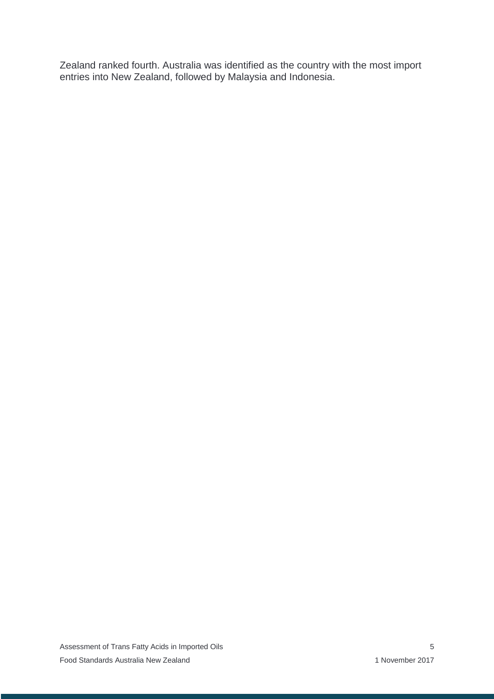Zealand ranked fourth. Australia was identified as the country with the most import entries into New Zealand, followed by Malaysia and Indonesia.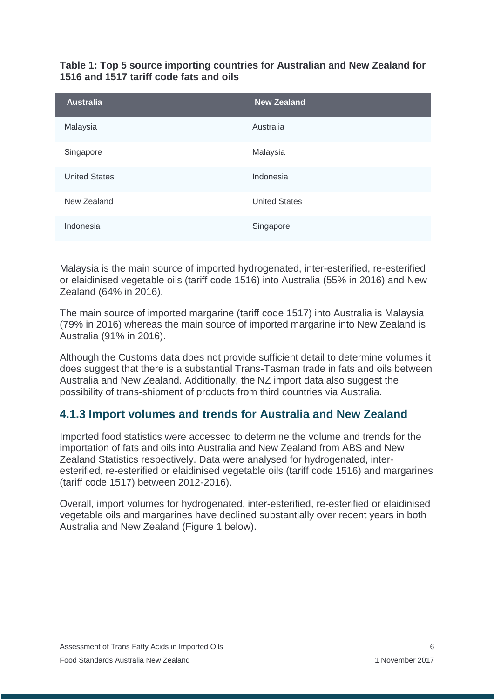#### **Table 1: Top 5 source importing countries for Australian and New Zealand for 1516 and 1517 tariff code fats and oils**

| <b>Australia</b>     | <b>New Zealand</b>   |
|----------------------|----------------------|
| Malaysia             | Australia            |
| Singapore            | Malaysia             |
| <b>United States</b> | Indonesia            |
| New Zealand          | <b>United States</b> |
| Indonesia            | Singapore            |

Malaysia is the main source of imported hydrogenated, inter-esterified, re-esterified or elaidinised vegetable oils (tariff code 1516) into Australia (55% in 2016) and New Zealand (64% in 2016).

The main source of imported margarine (tariff code 1517) into Australia is Malaysia (79% in 2016) whereas the main source of imported margarine into New Zealand is Australia (91% in 2016).

Although the Customs data does not provide sufficient detail to determine volumes it does suggest that there is a substantial Trans-Tasman trade in fats and oils between Australia and New Zealand. Additionally, the NZ import data also suggest the possibility of trans-shipment of products from third countries via Australia.

### **4.1.3 Import volumes and trends for Australia and New Zealand**

Imported food statistics were accessed to determine the volume and trends for the importation of fats and oils into Australia and New Zealand from ABS and New Zealand Statistics respectively. Data were analysed for hydrogenated, interesterified, re-esterified or elaidinised vegetable oils (tariff code 1516) and margarines (tariff code 1517) between 2012-2016).

Overall, import volumes for hydrogenated, inter-esterified, re-esterified or elaidinised vegetable oils and margarines have declined substantially over recent years in both Australia and New Zealand (Figure 1 below).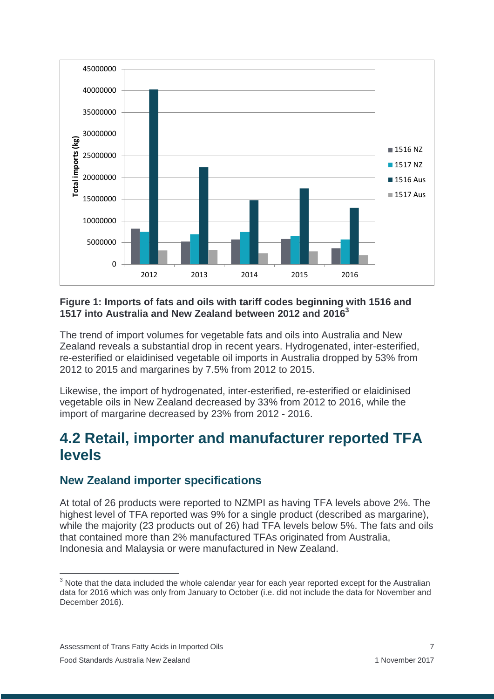

#### **Figure 1: Imports of fats and oils with tariff codes beginning with 1516 and 1517 into Australia and New Zealand between 2012 and 2016<sup>3</sup>**

The trend of import volumes for vegetable fats and oils into Australia and New Zealand reveals a substantial drop in recent years. Hydrogenated, inter-esterified, re-esterified or elaidinised vegetable oil imports in Australia dropped by 53% from 2012 to 2015 and margarines by 7.5% from 2012 to 2015.

Likewise, the import of hydrogenated, inter-esterified, re-esterified or elaidinised vegetable oils in New Zealand decreased by 33% from 2012 to 2016, while the import of margarine decreased by 23% from 2012 - 2016.

### <span id="page-10-0"></span>**4.2 Retail, importer and manufacturer reported TFA levels**

#### **New Zealand importer specifications**

At total of 26 products were reported to NZMPI as having TFA levels above 2%. The highest level of TFA reported was 9% for a single product (described as margarine), while the majority (23 products out of 26) had TFA levels below 5%. The fats and oils that contained more than 2% manufactured TFAs originated from Australia, Indonesia and Malaysia or were manufactured in New Zealand.

 $\overline{a}$ 

 $3$  Note that the data included the whole calendar year for each year reported except for the Australian data for 2016 which was only from January to October (i.e. did not include the data for November and December 2016).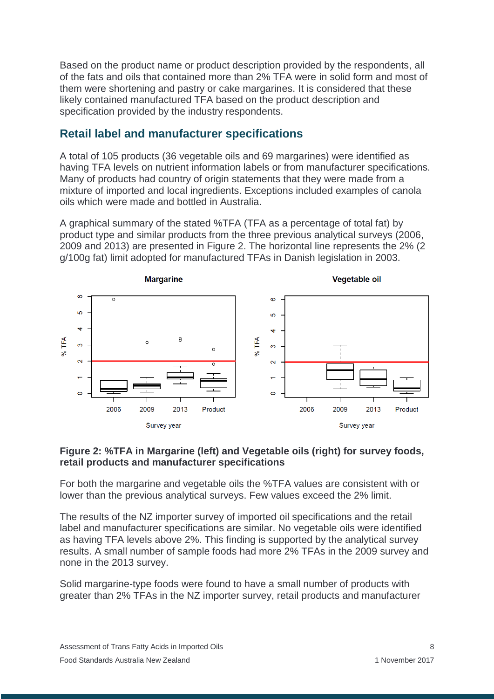Based on the product name or product description provided by the respondents, all of the fats and oils that contained more than 2% TFA were in solid form and most of them were shortening and pastry or cake margarines. It is considered that these likely contained manufactured TFA based on the product description and specification provided by the industry respondents.

#### **Retail label and manufacturer specifications**

A total of 105 products (36 vegetable oils and 69 margarines) were identified as having TFA levels on nutrient information labels or from manufacturer specifications. Many of products had country of origin statements that they were made from a mixture of imported and local ingredients. Exceptions included examples of canola oils which were made and bottled in Australia.

A graphical summary of the stated %TFA (TFA as a percentage of total fat) by product type and similar products from the three previous analytical surveys (2006, 2009 and 2013) are presented in Figure 2. The horizontal line represents the 2% (2 g/100g fat) limit adopted for manufactured TFAs in Danish legislation in 2003.



#### **Figure 2: %TFA in Margarine (left) and Vegetable oils (right) for survey foods, retail products and manufacturer specifications**

For both the margarine and vegetable oils the %TFA values are consistent with or lower than the previous analytical surveys. Few values exceed the 2% limit.

The results of the NZ importer survey of imported oil specifications and the retail label and manufacturer specifications are similar. No vegetable oils were identified as having TFA levels above 2%. This finding is supported by the analytical survey results. A small number of sample foods had more 2% TFAs in the 2009 survey and none in the 2013 survey.

Solid margarine-type foods were found to have a small number of products with greater than 2% TFAs in the NZ importer survey, retail products and manufacturer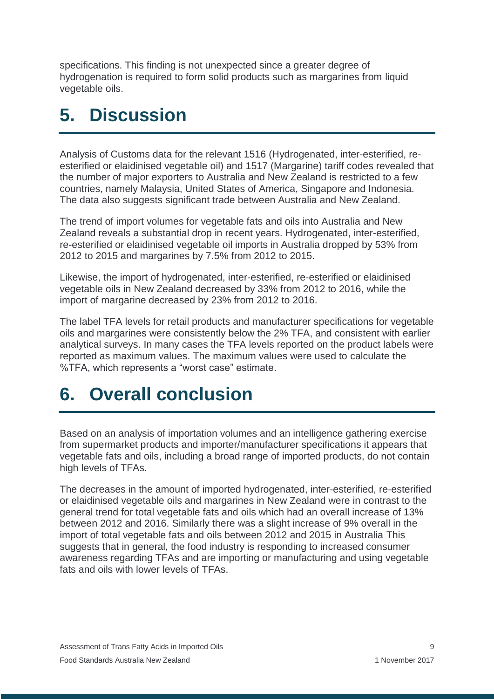specifications. This finding is not unexpected since a greater degree of hydrogenation is required to form solid products such as margarines from liquid vegetable oils.

## <span id="page-12-0"></span>**5. Discussion**

Analysis of Customs data for the relevant 1516 (Hydrogenated, inter-esterified, reesterified or elaidinised vegetable oil) and 1517 (Margarine) tariff codes revealed that the number of major exporters to Australia and New Zealand is restricted to a few countries, namely Malaysia, United States of America, Singapore and Indonesia. The data also suggests significant trade between Australia and New Zealand.

The trend of import volumes for vegetable fats and oils into Australia and New Zealand reveals a substantial drop in recent years. Hydrogenated, inter-esterified, re-esterified or elaidinised vegetable oil imports in Australia dropped by 53% from 2012 to 2015 and margarines by 7.5% from 2012 to 2015.

Likewise, the import of hydrogenated, inter-esterified, re-esterified or elaidinised vegetable oils in New Zealand decreased by 33% from 2012 to 2016, while the import of margarine decreased by 23% from 2012 to 2016.

The label TFA levels for retail products and manufacturer specifications for vegetable oils and margarines were consistently below the 2% TFA, and consistent with earlier analytical surveys. In many cases the TFA levels reported on the product labels were reported as maximum values. The maximum values were used to calculate the %TFA, which represents a "worst case" estimate.

## <span id="page-12-1"></span>**6. Overall conclusion**

Based on an analysis of importation volumes and an intelligence gathering exercise from supermarket products and importer/manufacturer specifications it appears that vegetable fats and oils, including a broad range of imported products, do not contain high levels of TFAs.

The decreases in the amount of imported hydrogenated, inter-esterified, re-esterified or elaidinised vegetable oils and margarines in New Zealand were in contrast to the general trend for total vegetable fats and oils which had an overall increase of 13% between 2012 and 2016. Similarly there was a slight increase of 9% overall in the import of total vegetable fats and oils between 2012 and 2015 in Australia This suggests that in general, the food industry is responding to increased consumer awareness regarding TFAs and are importing or manufacturing and using vegetable fats and oils with lower levels of TFAs.